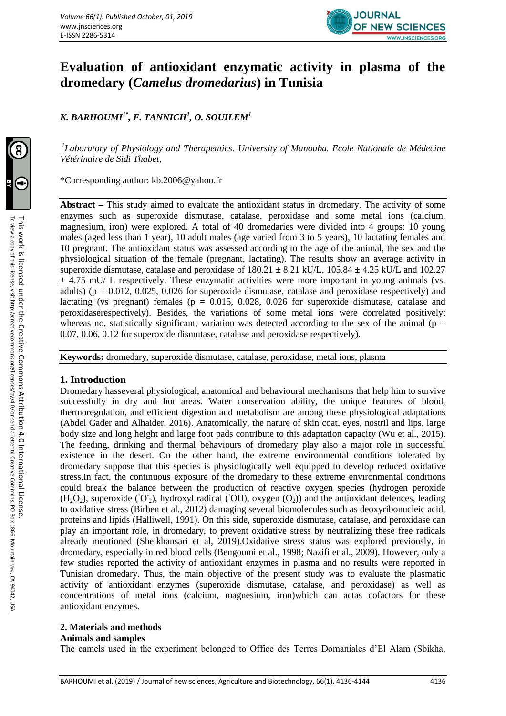

# **Evaluation of antioxidant enzymatic activity in plasma of the dromedary (***Camelus dromedarius***) in Tunisia**

*K. BARHOUMI1\*, F. TANNICH<sup>1</sup> , O. SOUILEM<sup>1</sup>*

<sup>1</sup>Laboratory of Physiology and Therapeutics. University of Manouba. Ecole Nationale de Médecine *Vétérinaire de Sidi Thabet,* 

\*Corresponding author: [kb.2006@yahoo.fr](mailto:kb.2006@yahoo.fr)

**Abstract –** This study aimed to evaluate the antioxidant status in dromedary. The activity of some enzymes such as superoxide dismutase, catalase, peroxidase and some metal ions (calcium, magnesium, iron) were explored. A total of 40 dromedaries were divided into 4 groups: 10 young males (aged less than 1 year), 10 adult males (age varied from 3 to 5 years), 10 lactating females and 10 pregnant. The antioxidant status was assessed according to the age of the animal, the sex and the physiological situation of the female (pregnant, lactating). The results show an average activity in superoxide dismutase, catalase and peroxidase of  $180.21 \pm 8.21$  kU/L,  $105.84 \pm 4.25$  kU/L and  $102.27$  $\pm$  4.75 mU/ L respectively. These enzymatic activities were more important in young animals (vs. adults) ( $p = 0.012$ , 0.025, 0.026 for superoxide dismutase, catalase and peroxidase respectively) and lactating (vs pregnant) females ( $p = 0.015$ , 0.028, 0.026 for superoxide dismutase, catalase and peroxidaserespectively). Besides, the variations of some metal ions were correlated positively; whereas no, statistically significant, variation was detected according to the sex of the animal ( $p =$ 0.07, 0.06, 0.12 for superoxide dismutase, catalase and peroxidase respectively).

**Keywords:** dromedary, superoxide dismutase, catalase, peroxidase, metal ions, plasma

# **1. Introduction**

Dromedary hasseveral physiological, anatomical and behavioural mechanisms that help him to survive successfully in dry and hot areas. Water conservation ability, the unique features of blood, thermoregulation, and efficient digestion and metabolism are among these physiological adaptations (Abdel Gader and Alhaider, 2016). Anatomically, the nature of skin coat, eyes, nostril and lips, large body size and long height and large foot pads contribute to this adaptation capacity (Wu et al., 2015). The feeding, drinking and thermal behaviours of dromedary play also a major role in successful existence in the desert. On the other hand, the extreme environmental conditions tolerated by dromedary suppose that this species is physiologically well equipped to develop reduced oxidative stress.In fact, the continuous exposure of the dromedary to these extreme environmental conditions could break the balance between the production of reactive oxygen species (hydrogen peroxide  $(H_2O_2)$ , superoxide ('O<sub>2</sub>), hydroxyl radical ('OH), oxygen  $(O_2)$ ) and the antioxidant defences, leading to oxidative stress (Birben et al., 2012) damaging several biomolecules such as deoxyribonucleic acid, proteins and lipids (Halliwell, 1991). On this side, superoxide dismutase, catalase, and peroxidase can play an important role, in dromedary, to prevent oxidative stress by neutralizing these free radicals already mentioned (Sheikhansari et al, 2019).Oxidative stress status was explored previously, in dromedary, especially in red blood cells (Bengoumi et al., 1998; Nazifi et al., 2009). However, only a few studies reported the activity of antioxidant enzymes in plasma and no results were reported in Tunisian dromedary. Thus, the main objective of the present study was to evaluate the plasmatic activity of antioxidant enzymes (superoxide dismutase, catalase, and peroxidase) as well as concentrations of metal ions (calcium, magnesium, iron)which can actas cofactors for these antioxidant enzymes.

# **2. Materials and methods**

#### **Animals and samples**

The camels used in the experiment belonged to Office des Terres Domaniales d'El Alam (Sbikha,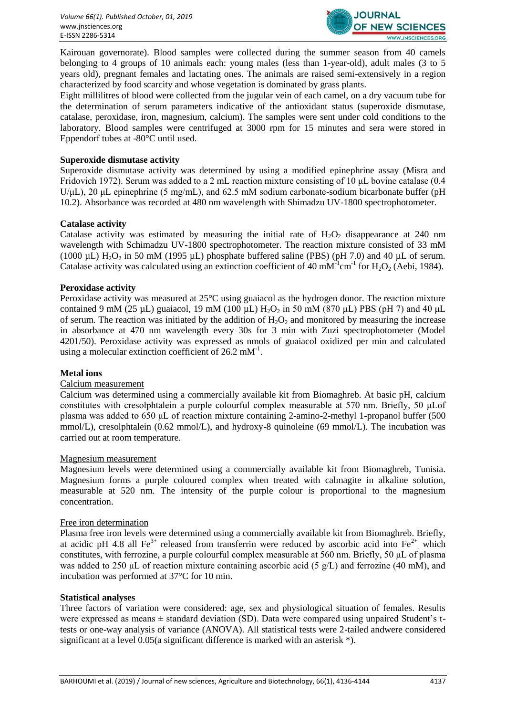

Kairouan governorate). Blood samples were collected during the summer season from 40 camels belonging to 4 groups of 10 animals each: young males (less than 1-year-old), adult males (3 to 5 years old), pregnant females and lactating ones. The animals are raised semi-extensively in a region characterized by food scarcity and whose vegetation is dominated by grass plants.

Eight millilitres of blood were collected from the jugular vein of each camel, on a dry vacuum tube for the determination of serum parameters indicative of the antioxidant status (superoxide dismutase, catalase, peroxidase, iron, magnesium, calcium). The samples were sent under cold conditions to the laboratory. Blood samples were centrifuged at 3000 rpm for 15 minutes and sera were stored in Eppendorf tubes at -80°C until used.

#### **Superoxide dismutase activity**

Superoxide dismutase activity was determined by using a modified epinephrine assay (Misra and Fridovich 1972). Serum was added to a 2 mL reaction mixture consisting of 10 μL bovine catalase (0.4  $U/\mu L$ ), 20  $\mu L$  epinephrine (5 mg/mL), and 62.5 mM sodium carbonate-sodium bicarbonate buffer (pH) 10.2). Absorbance was recorded at 480 nm wavelength with Shimadzu UV-1800 spectrophotometer.

#### **Catalase activity**

Catalase activity was estimated by measuring the initial rate of  $H_2O_2$  disappearance at 240 nm wavelength with Schimadzu UV-1800 spectrophotometer. The reaction mixture consisted of 33 mM (1000  $\mu$ L) H<sub>2</sub>O<sub>2</sub> in 50 mM (1995  $\mu$ L) phosphate buffered saline (PBS) (pH 7.0) and 40  $\mu$ L of serum. Catalase activity was calculated using an extinction coefficient of 40 mM<sup>-1</sup>cm<sup>-1</sup> for H<sub>2</sub>O<sub>2</sub> (Aebi, 1984).

#### **Peroxidase activity**

Peroxidase activity was measured at 25°C using guaiacol as the hydrogen donor. The reaction mixture contained 9 mM (25  $\mu$ L) guaiacol, 19 mM (100  $\mu$ L) H<sub>2</sub>O<sub>2</sub> in 50 mM (870  $\mu$ L) PBS (pH 7) and 40  $\mu$ L of serum. The reaction was initiated by the addition of  $H_2O_2$  and monitored by measuring the increase in absorbance at 470 nm wavelength every 30s for 3 min with Zuzi spectrophotometer (Model 4201/50). Peroxidase activity was expressed as nmols of guaiacol oxidized per min and calculated using a molecular extinction coefficient of  $26.2 \text{ mM}^{-1}$ .

#### **Metal ions**

#### Calcium measurement

Calcium was determined using a commercially available kit from Biomaghreb. At basic pH, calcium constitutes with cresolphtalein a purple colourful complex measurable at 570 nm. Briefly, 50 μLof plasma was added to 650 μL of reaction mixture containing 2-amino-2-methyl 1-propanol buffer (500 mmol/L), cresolphtalein (0.62 mmol/L), and hydroxy-8 quinoleine (69 mmol/L). The incubation was carried out at room temperature.

#### Magnesium measurement

Magnesium levels were determined using a commercially available kit from Biomaghreb, Tunisia. Magnesium forms a purple coloured complex when treated with calmagite in alkaline solution, measurable at 520 nm. The intensity of the purple colour is proportional to the magnesium concentration.

#### Free iron determination

Plasma free iron levels were determined using a commercially available kit from Biomaghreb. Briefly, at acidic pH 4.8 all Fe<sup>3+</sup> released from transferrin were reduced by ascorbic acid into Fe<sup>2+</sup>, which constitutes, with ferrozine, a purple colourful complex measurable at 560 nm. Briefly, 50 μL of plasma was added to 250 μL of reaction mixture containing ascorbic acid (5 g/L) and ferrozine (40 mM), and incubation was performed at 37°C for 10 min.

#### **Statistical analyses**

Three factors of variation were considered: age, sex and physiological situation of females. Results were expressed as means  $\pm$  standard deviation (SD). Data were compared using unpaired Student's ttests or one-way analysis of variance (ANOVA). All statistical tests were 2-tailed andwere considered significant at a level 0.05(a significant difference is marked with an asterisk \*).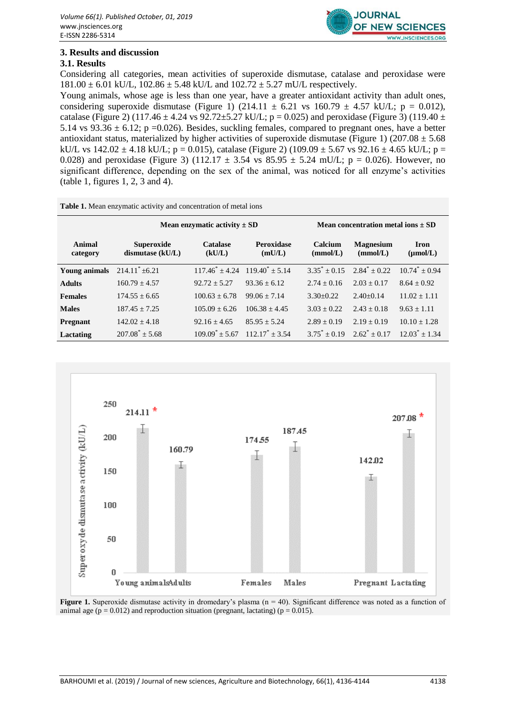

# **3. Results and discussion**

# **3.1. Results**

Considering all categories, mean activities of superoxide dismutase, catalase and peroxidase were  $181.00 \pm 6.01$  kU/L,  $102.86 \pm 5.48$  kU/L and  $102.72 \pm 5.27$  mU/L respectively.

Young animals, whose age is less than one year, have a greater antioxidant activity than adult ones, considering superoxide dismutase (Figure 1) (214.11  $\pm$  6.21 vs 160.79  $\pm$  4.57 kU/L; p = 0.012), catalase (Figure 2) (117.46  $\pm$  4.24 vs 92.72 $\pm$ 5.27 kU/L; p = 0.025) and peroxidase (Figure 3) (119.40  $\pm$ 5.14 vs  $93.36 \pm 6.12$ ; p =0.026). Besides, suckling females, compared to pregnant ones, have a better antioxidant status, materialized by higher activities of superoxide dismutase (Figure 1) (207.08  $\pm$  5.68 kU/L vs  $142.02 \pm 4.18$  kU/L; p = 0.015), catalase (Figure 2) (109.09  $\pm$  5.67 vs 92.16  $\pm$  4.65 kU/L; p = 0.028) and peroxidase (Figure 3) (112.17  $\pm$  3.54 vs 85.95  $\pm$  5.24 mU/L; p = 0.026). However, no significant difference, depending on the sex of the animal, was noticed for all enzyme's activities (table 1, figures 1, 2, 3 and 4).

| <b>Table 1.</b> Mean enzymatic activity and concentration of metal ions |                                         |                                         |                                         |                                        |                              |                              |
|-------------------------------------------------------------------------|-----------------------------------------|-----------------------------------------|-----------------------------------------|----------------------------------------|------------------------------|------------------------------|
|                                                                         | Mean enzymatic activity $\pm$ SD        |                                         |                                         | Mean concentration metal ions $\pm$ SD |                              |                              |
| Animal<br>category                                                      | <b>Superoxide</b><br>dismutase $(kU/L)$ | <b>Catalase</b><br>(kU/L)               | <b>Peroxidase</b><br>(mU/L)             | Calcium<br>(mmol/L)                    | <b>Magnesium</b><br>(mmol/L) | Iron<br>$(\mu \text{mol/L})$ |
| <b>Young animals</b>                                                    | $214.11^* \pm 6.21$                     | $117.46^* \pm 4.24$ $119.40^* \pm 5.14$ |                                         | $3.35^* + 0.15$                        | $2.84^* + 0.22$              | $10.74^* + 0.94$             |
| <b>Adults</b>                                                           | $160.79 + 4.57$                         | $92.72 + 5.27$                          | $93.36 + 6.12$                          | $2.74 + 0.16$                          | $2.03 + 0.17$                | $8.64 + 0.92$                |
| <b>Females</b>                                                          | $174.55 + 6.65$                         | $100.63 + 6.78$                         | $99.06 + 7.14$                          | $3.30+0.22$                            | $2.40+0.14$                  | $11.02 + 1.11$               |
| <b>Males</b>                                                            | $187.45 + 7.25$                         | $105.09 + 6.26$                         | $106.38 + 4.45$                         | $3.03 + 0.22$                          | $2.43 + 0.18$                | $9.63 + 1.11$                |
| Pregnant                                                                | $142.02 + 4.18$                         | $92.16 + 4.65$                          | $85.95 + 5.24$                          | $2.89 + 0.19$                          | $2.19 + 0.19$                | $10.10 + 1.28$               |
| Lactating                                                               | $207.08^* \pm 5.68$                     |                                         | $109.09^* + 5.67 \quad 112.17^* + 3.54$ | $3.75^* + 0.19$                        | $2.62^* + 0.17$              | $12.03^* + 1.34$             |



**Figure 1.** Superoxide dismutase activity in dromedary's plasma (n = 40). Significant difference was noted as a function of animal age ( $p = 0.012$ ) and reproduction situation (pregnant, lactating) ( $p = 0.015$ ).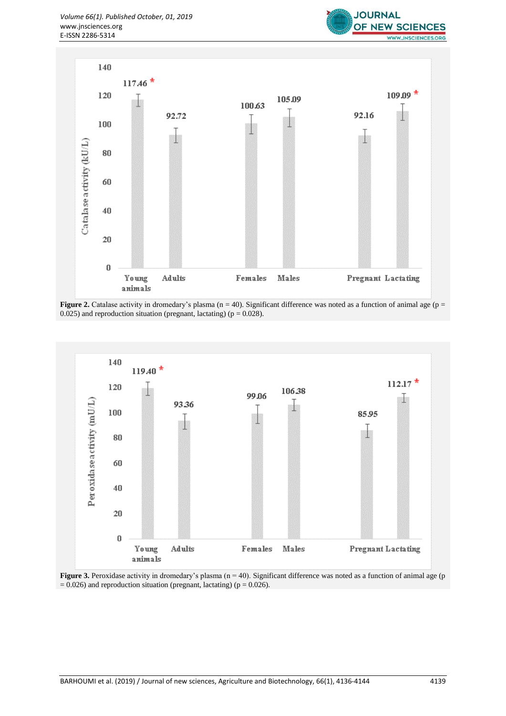



**Figure 2.** Catalase activity in dromedary's plasma ( $n = 40$ ). Significant difference was noted as a function of animal age ( $p =$ 0.025) and reproduction situation (pregnant, lactating) ( $p = 0.028$ ).



**Figure 3.** Peroxidase activity in dromedary's plasma (n = 40). Significant difference was noted as a function of animal age (p  $= 0.026$ ) and reproduction situation (pregnant, lactating) (p  $= 0.026$ ).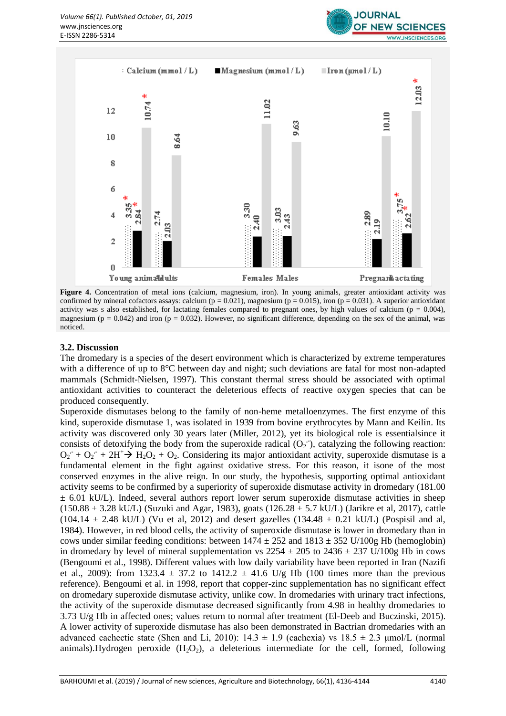



Figure 4. Concentration of metal ions (calcium, magnesium, iron). In young animals, greater antioxidant activity was confirmed by mineral cofactors assays: calcium ( $p = 0.021$ ), magnesium ( $p = 0.015$ ), iron ( $p = 0.031$ ). A superior antioxidant activity was s also established, for lactating females compared to pregnant ones, by high values of calcium ( $p = 0.004$ ), magnesium ( $p = 0.042$ ) and iron ( $p = 0.032$ ). However, no significant difference, depending on the sex of the animal, was noticed.

#### **3.2. Discussion**

The dromedary is a species of the desert environment which is characterized by extreme temperatures with a difference of up to 8°C between day and night; such deviations are fatal for most non-adapted mammals (Schmidt-Nielsen, 1997). This constant thermal stress should be associated with optimal antioxidant activities to counteract the deleterious effects of reactive oxygen species that can be produced consequently.

Superoxide dismutases belong to the family of non-heme metalloenzymes. The first enzyme of this kind, superoxide dismutase 1, was isolated in 1939 from bovine erythrocytes by Mann and Keilin. Its activity was discovered only 30 years later (Miller, 2012), yet its biological role is essentialsince it consists of detoxifying the body from the superoxide radical  $(O_2)$ , catalyzing the following reaction:  $O_2 + O_2 + 2H^+ \rightarrow H_2O_2 + O_2$ . Considering its major antioxidant activity, superoxide dismutase is a fundamental element in the fight against oxidative stress. For this reason, it isone of the most conserved enzymes in the alive reign. In our study, the hypothesis, supporting optimal antioxidant activity seems to be confirmed by a superiority of superoxide dismutase activity in dromedary (181.00  $\pm$  6.01 kU/L). Indeed, several authors report lower serum superoxide dismutase activities in sheep  $(150.88 \pm 3.28 \text{ kU/L})$  (Suzuki and Agar, 1983), goats  $(126.28 \pm 5.7 \text{ kU/L})$  (Jarikre et al, 2017), cattle  $(104.14 \pm 2.48 \text{ kU/L})$  (Vu et al, 2012) and desert gazelles  $(134.48 \pm 0.21 \text{ kU/L})$  (Pospisil and al, 1984). However, in red blood cells, the activity of superoxide dismutase is lower in dromedary than in cows under similar feeding conditions: between  $1474 \pm 252$  and  $1813 \pm 352$  U/100g Hb (hemoglobin) in dromedary by level of mineral supplementation vs  $2254 \pm 205$  to  $2436 \pm 237$  U/100g Hb in cows (Bengoumi et al., 1998). Different values with low daily variability have been reported in Iran (Nazifi et al., 2009): from 1323.4  $\pm$  37.2 to 1412.2  $\pm$  41.6 U/g Hb (100 times more than the previous reference). Bengoumi et al. in 1998, report that copper-zinc supplementation has no significant effect on dromedary superoxide dismutase activity, unlike cow. In dromedaries with urinary tract infections, the activity of the superoxide dismutase decreased significantly from 4.98 in healthy dromedaries to 3.73 U/g Hb in affected ones; values return to normal after treatment (El-Deeb and Buczinski, 2015). A lower activity of superoxide dismutase has also been demonstrated in Bactrian dromedaries with an advanced cachectic state (Shen and Li, 2010):  $14.3 \pm 1.9$  (cachexia) vs  $18.5 \pm 2.3$  µmol/L (normal animals).Hydrogen peroxide  $(H_2O_2)$ , a deleterious intermediate for the cell, formed, following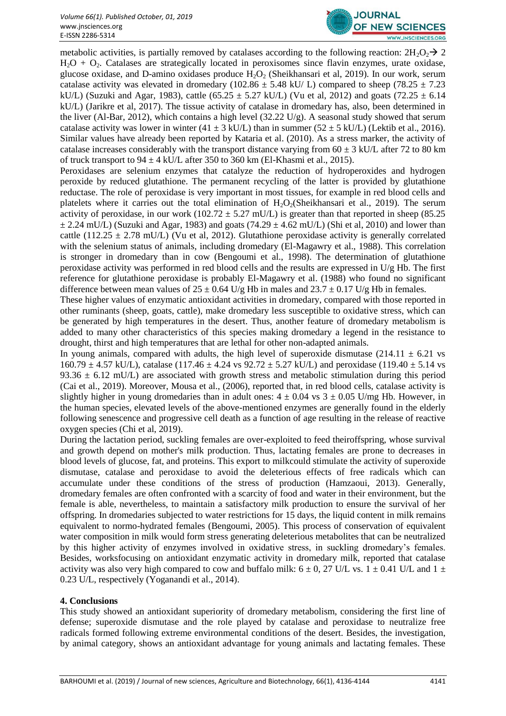

metabolic activities, is partially removed by catalases according to the following reaction:  $2H_2O_2 \rightarrow 2$  $H<sub>2</sub>O + O<sub>2</sub>$ . Catalases are strategically located in peroxisomes since flavin enzymes, urate oxidase, glucose oxidase, and D-amino oxidases produce  $H_2O_2$  (Sheikhansari et al. 2019). In our work, serum catalase activity was elevated in dromedary (102.86  $\pm$  5.48 kU/ L) compared to sheep (78.25  $\pm$  7.23 kU/L) (Suzuki and Agar, 1983), cattle (65.25  $\pm$  5.27 kU/L) (Vu et al, 2012) and goats (72.25  $\pm$  6.14 kU/L) (Jarikre et al, 2017). The tissue activity of catalase in dromedary has, also, been determined in the liver (Al-Bar, 2012), which contains a high level (32.22 U/g). A seasonal study showed that serum catalase activity was lower in winter (41  $\pm$  3 kU/L) than in summer (52  $\pm$  5 kU/L) (Lektib et al., 2016). Similar values have already been reported by Kataria et al. (2010). As a stress marker, the activity of catalase increases considerably with the transport distance varying from  $60 \pm 3$  kU/L after 72 to 80 km of truck transport to  $94 \pm 4$  kU/L after 350 to 360 km (El-Khasmi et al., 2015).

Peroxidases are selenium enzymes that catalyze the reduction of hydroperoxides and hydrogen peroxide by reduced glutathione. The permanent recycling of the latter is provided by glutathione reductase. The role of peroxidase is very important in most tissues, for example in red blood cells and platelets where it carries out the total elimination of  $H_2O_2(Sheikhansari$  et al., 2019). The serum activity of peroxidase, in our work (102.72  $\pm$  5.27 mU/L) is greater than that reported in sheep (85.25  $\pm$  2.24 mU/L) (Suzuki and Agar, 1983) and goats (74.29  $\pm$  4.62 mU/L) (Shi et al, 2010) and lower than cattle (112.25  $\pm$  2.78 mU/L) (Vu et al, 2012). Glutathione peroxidase activity is generally correlated with the selenium status of animals, including dromedary (El-Magawry et al., 1988). This correlation is stronger in dromedary than in cow (Bengoumi et al., 1998). The determination of glutathione peroxidase activity was performed in red blood cells and the results are expressed in U/g Hb. The first reference for glutathione peroxidase is probably El-Magawry et al. (1988) who found no significant difference between mean values of  $25 \pm 0.64$  U/g Hb in males and  $23.7 \pm 0.17$  U/g Hb in females.

These higher values of enzymatic antioxidant activities in dromedary, compared with those reported in other ruminants (sheep, goats, cattle), make dromedary less susceptible to oxidative stress, which can be generated by high temperatures in the desert. Thus, another feature of dromedary metabolism is added to many other characteristics of this species making dromedary a legend in the resistance to drought, thirst and high temperatures that are lethal for other non-adapted animals.

In young animals, compared with adults, the high level of superoxide dismutase (214.11  $\pm$  6.21 vs  $160.79 \pm 4.57$  kU/L), catalase (117.46  $\pm$  4.24 vs 92.72  $\pm$  5.27 kU/L) and peroxidase (119.40  $\pm$  5.14 vs 93.36  $\pm$  6.12 mU/L) are associated with growth stress and metabolic stimulation during this period (Cai et al., 2019). Moreover, Mousa et al., (2006), reported that, in red blood cells, catalase activity is slightly higher in young dromedaries than in adult ones:  $4 \pm 0.04$  vs  $3 \pm 0.05$  U/mg Hb. However, in the human species, elevated levels of the above-mentioned enzymes are generally found in the elderly following senescence and progressive cell death as a function of age resulting in the release of reactive oxygen species (Chi et al, 2019).

During the lactation period, suckling females are over-exploited to feed theiroffspring, whose survival and growth depend on mother's milk production. Thus, lactating females are prone to decreases in blood levels of glucose, fat, and proteins. This export to milkcould stimulate the activity of superoxide dismutase, catalase and peroxidase to avoid the deleterious effects of free radicals which can accumulate under these conditions of the stress of production (Hamzaoui, 2013). Generally, dromedary females are often confronted with a scarcity of food and water in their environment, but the female is able, nevertheless, to maintain a satisfactory milk production to ensure the survival of her offspring. In dromedaries subjected to water restrictions for 15 days, the liquid content in milk remains equivalent to normo-hydrated females (Bengoumi, 2005). This process of conservation of equivalent water composition in milk would form stress generating deleterious metabolites that can be neutralized by this higher activity of enzymes involved in oxidative stress, in suckling dromedary's females. Besides, worksfocusing on antioxidant enzymatic activity in dromedary milk, reported that catalase activity was also very high compared to cow and buffalo milk:  $6 \pm 0$ , 27 U/L vs. 1  $\pm$  0.41 U/L and 1  $\pm$ 0.23 U/L, respectively (Yoganandi et al., 2014).

# **4. Conclusions**

This study showed an antioxidant superiority of dromedary metabolism, considering the first line of defense; superoxide dismutase and the role played by catalase and peroxidase to neutralize free radicals formed following extreme environmental conditions of the desert. Besides, the investigation, by animal category, shows an antioxidant advantage for young animals and lactating females. These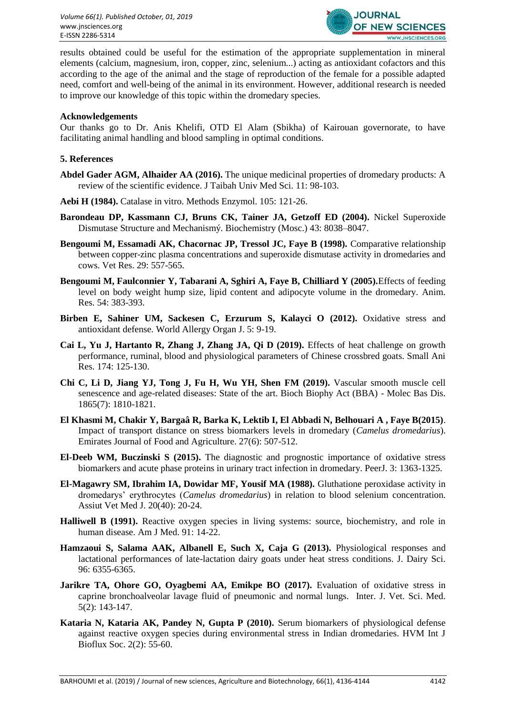

results obtained could be useful for the estimation of the appropriate supplementation in mineral elements (calcium, magnesium, iron, copper, zinc, selenium...) acting as antioxidant cofactors and this according to the age of the animal and the stage of reproduction of the female for a possible adapted need, comfort and well-being of the animal in its environment. However, additional research is needed to improve our knowledge of this topic within the dromedary species.

#### **Acknowledgements**

Our thanks go to Dr. Anis Khelifi, OTD El Alam (Sbikha) of Kairouan governorate, to have facilitating animal handling and blood sampling in optimal conditions.

#### **5. References**

- **Abdel Gader AGM, Alhaider AA (2016).** The unique medicinal properties of dromedary products: A review of the scientific evidence. J Taibah Univ Med Sci. 11: 98-103.
- **Aebi H (1984).** Catalase in vitro. Methods Enzymol. 105: 121-26.
- **Barondeau DP, Kassmann CJ, Bruns CK, Tainer JA, Getzoff ED (2004).** Nickel Superoxide Dismutase Structure and Mechanismý. Biochemistry (Mosc.) 43: 8038–8047.
- **Bengoumi M, Essamadi AK, Chacornac JP, Tressol JC, Faye B (1998).** Comparative relationship between copper-zinc plasma concentrations and superoxide dismutase activity in dromedaries and cows. Vet Res. 29: 557-565.
- **Bengoumi M, Faulconnier Y, Tabarani A, Sghiri A, Faye B, Chilliard Y (2005).**Effects of feeding level on body weight hump size, lipid content and adipocyte volume in the dromedary. Anim. Res. 54: 383-393.
- **Birben E, Sahiner UM, Sackesen C, Erzurum S, Kalayci O (2012).** Oxidative stress and antioxidant defense. World Allergy Organ J. 5: 9-19.
- **Cai L, Yu J, Hartanto R, Zhang J, Zhang JA, Qi D (2019).** Effects of heat challenge on growth performance, ruminal, blood and physiological parameters of Chinese crossbred goats. Small Ani Res. 174: 125-130.
- **Chi C, Li D, Jiang YJ, Tong J, Fu H, Wu YH, Shen FM (2019).** Vascular smooth muscle cell senescence and age-related diseases: State of the art. Bioch Biophy Act (BBA) - Molec Bas Dis. 1865(7): 1810-1821.
- **El Khasmi M, Chakir Y, Bargaâ R, Barka K, Lektib I, El Abbadi N, Belhouari A , Faye B(2015)**. Impact of transport distance on stress biomarkers levels in dromedary (*Camelus dromedarius*). Emirates Journal of Food and Agriculture. 27(6): 507-512.
- **El-Deeb WM, Buczinski S (2015).** The diagnostic and prognostic importance of oxidative stress biomarkers and acute phase proteins in urinary tract infection in dromedary. PeerJ. 3: 1363-1325.
- **El-Magawry SM, Ibrahim IA, Dowidar MF, Yousif MA (1988).** Gluthatione peroxidase activity in dromedarys' erythrocytes (*Camelus dromedarius*) in relation to blood selenium concentration. Assiut Vet Med J. 20(40): 20-24.
- **Halliwell B (1991).** Reactive oxygen species in living systems: source, biochemistry, and role in human disease. Am J Med. 91: 14-22.
- **Hamzaoui S, Salama AAK, Albanell E, Such X, Caja G (2013).** Physiological responses and lactational performances of late-lactation dairy goats under heat stress conditions. J. Dairy Sci. 96: 6355-6365.
- **Jarikre TA, Ohore GO, Oyagbemi AA, Emikpe BO (2017).** Evaluation of oxidative stress in caprine bronchoalveolar lavage fluid of pneumonic and normal lungs. Inter. J. Vet. Sci. Med. 5(2): 143-147.
- **Kataria N, Kataria AK, Pandey N, Gupta P (2010).** Serum biomarkers of physiological defense against reactive oxygen species during environmental stress in Indian dromedaries. HVM Int J Bioflux Soc. 2(2): 55-60.